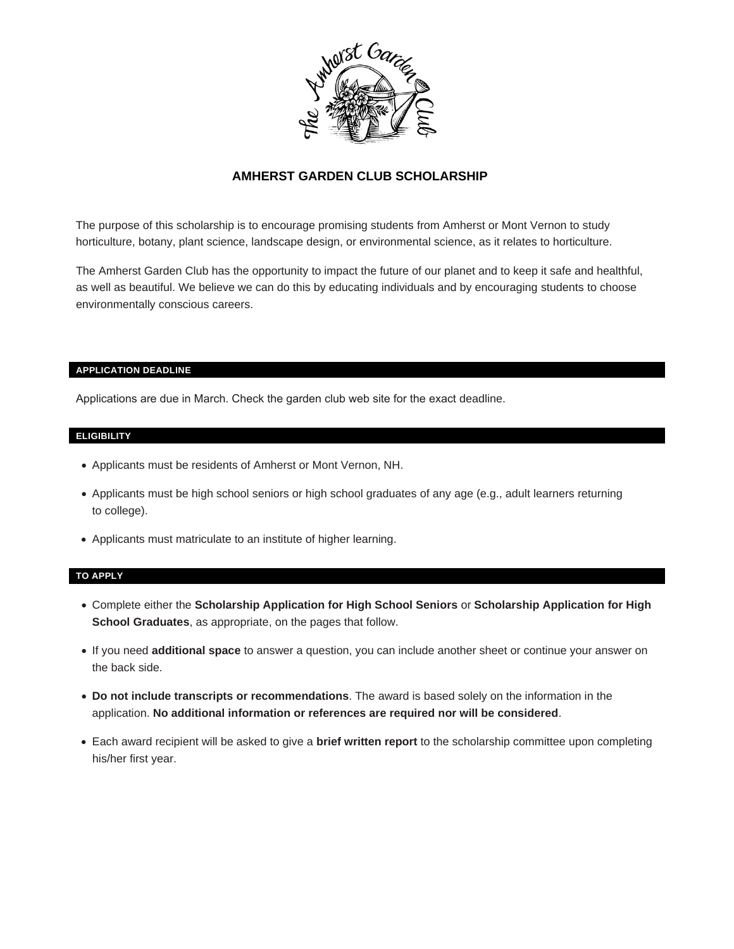

#### **AMHERST GARDEN CLUB SCHOLARSHIP**

The purpose of this scholarship is to encourage promising students from Amherst or Mont Vernon to study horticulture, botany, plant science, landscape design, or environmental science, as it relates to horticulture.

The Amherst Garden Club has the opportunity to impact the future of our planet and to keep it safe and healthful, as well as beautiful. We believe we can do this by educating individuals and by encouraging students to choose environmentally conscious careers.

#### **APPLICATION DEADLINE**

Applications are due in March. Check the garden club web site for the exact deadline.

#### **ELIGIBILITY**

- Applicants must be residents of Amherst or Mont Vernon, NH.
- Applicants must be high school seniors or high school graduates of any age (e.g., adult learners returning to college).
- Applicants must matriculate to an institute of higher learning.

#### **TO APPLY**

- Complete either the **Scholarship Application for High School Seniors** or **Scholarship Application for High School Graduates**, as appropriate, on the pages that follow.
- If you need **additional space** to answer a question, you can include another sheet or continue your answer on the back side.
- **Do not include transcripts or recommendations**. The award is based solely on the information in the application. **No additional information or references are required nor will be considered**.
- Each award recipient will be asked to give a **brief written report** to the scholarship committee upon completing his/her first year.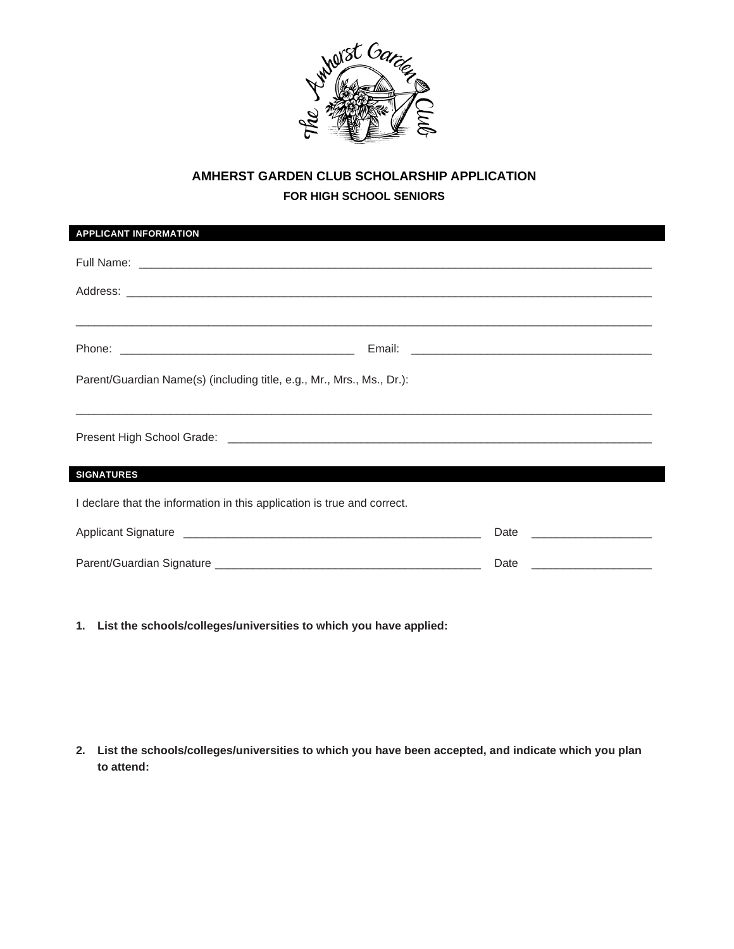

# **AMHERST GARDEN CLUB SCHOLARSHIP APPLICATION FOR HIGH SCHOOL SENIORS**

| <b>APPLICANT INFORMATION</b>                                            |                           |  |  |
|-------------------------------------------------------------------------|---------------------------|--|--|
|                                                                         |                           |  |  |
|                                                                         |                           |  |  |
|                                                                         |                           |  |  |
|                                                                         |                           |  |  |
| Parent/Guardian Name(s) (including title, e.g., Mr., Mrs., Ms., Dr.):   |                           |  |  |
|                                                                         |                           |  |  |
| <b>SIGNATURES</b>                                                       |                           |  |  |
| I declare that the information in this application is true and correct. |                           |  |  |
|                                                                         |                           |  |  |
|                                                                         | Date ____________________ |  |  |

**1. List the schools/colleges/universities to which you have applied:**

**2. List the schools/colleges/universities to which you have been accepted, and indicate which you plan to attend:**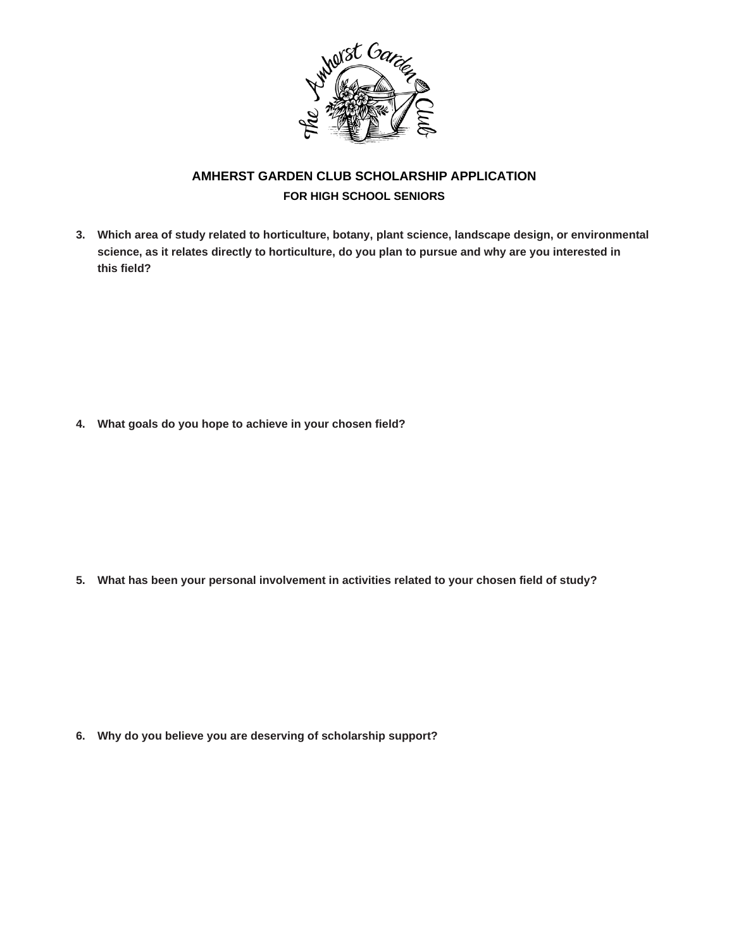

# **AMHERST GARDEN CLUB SCHOLARSHIP APPLICATION FOR HIGH SCHOOL SENIORS**

**3. Which area of study related to horticulture, botany, plant science, landscape design, or environmental science, as it relates directly to horticulture, do you plan to pursue and why are you interested in this field?**

**4. What goals do you hope to achieve in your chosen field?**

**5. What has been your personal involvement in activities related to your chosen field of study?**

**6. Why do you believe you are deserving of scholarship support?**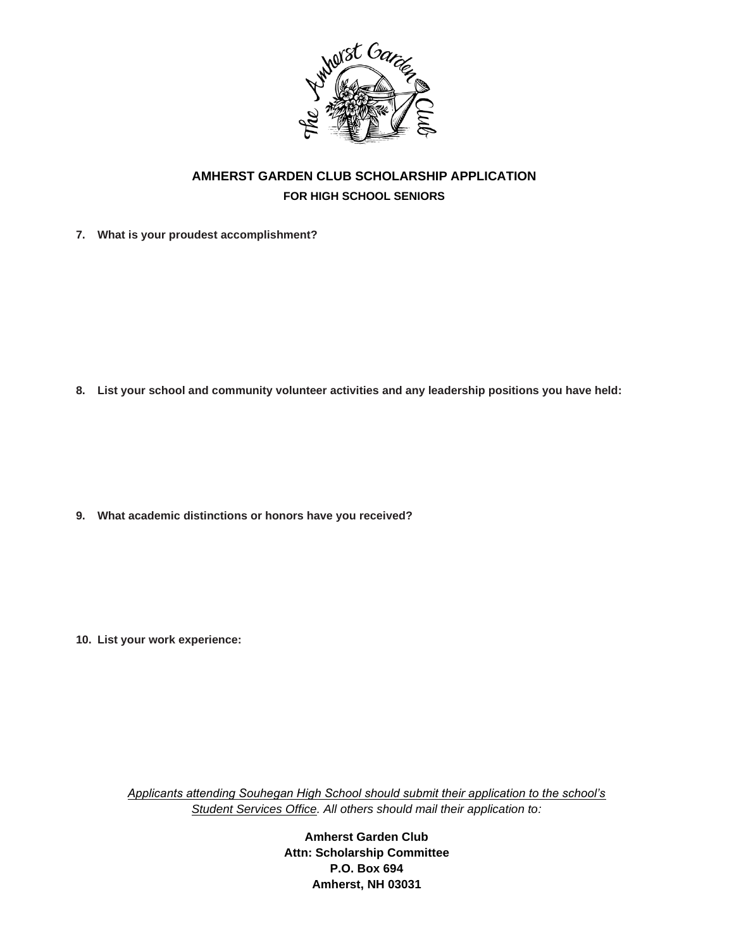

# **AMHERST GARDEN CLUB SCHOLARSHIP APPLICATION FOR HIGH SCHOOL SENIORS**

**7. What is your proudest accomplishment?**

**8. List your school and community volunteer activities and any leadership positions you have held:**

**9. What academic distinctions or honors have you received?**

**10. List your work experience:**

*Applicants attending Souhegan High School should submit their application to the school's Student Services Office. All others should mail their application to:*

> **Amherst Garden Club Attn: Scholarship Committee P.O. Box 694 Amherst, NH 03031**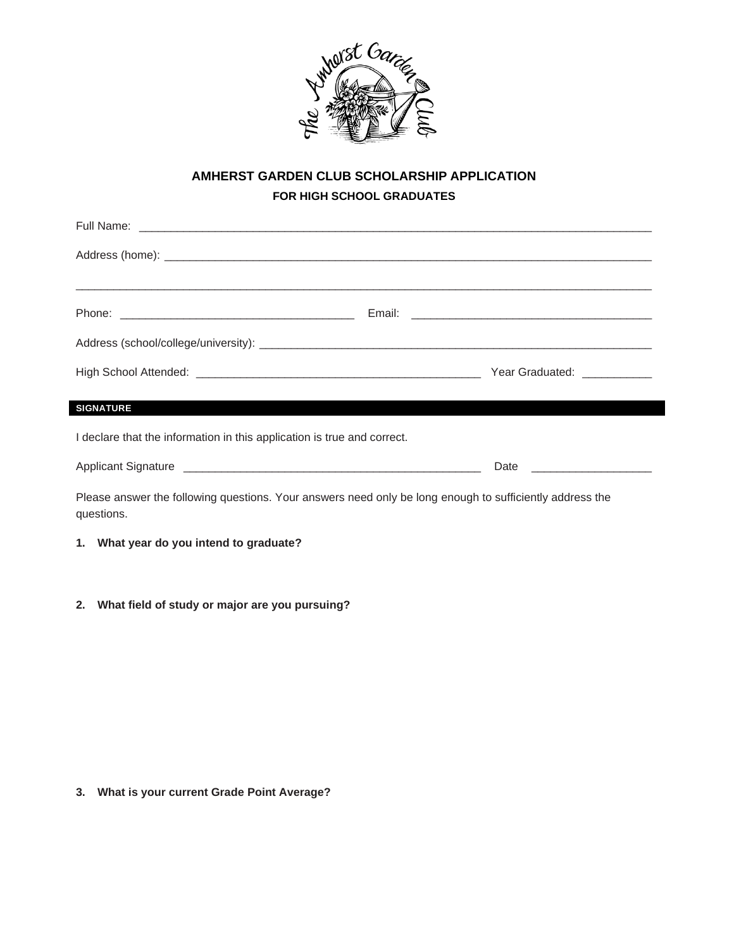

# **AMHERST GARDEN CLUB SCHOLARSHIP APPLICATION FOR HIGH SCHOOL GRADUATES**

|                                                                         |  | Year Graduated: ___________                              |  |
|-------------------------------------------------------------------------|--|----------------------------------------------------------|--|
| <b>SIGNATURE</b>                                                        |  |                                                          |  |
| I declare that the information in this application is true and correct. |  |                                                          |  |
|                                                                         |  | Date<br>the control of the control of the control of the |  |

Please answer the following questions. Your answers need only be long enough to sufficiently address the questions.

**1. What year do you intend to graduate?**

**2. What field of study or major are you pursuing?**

**3. What is your current Grade Point Average?**